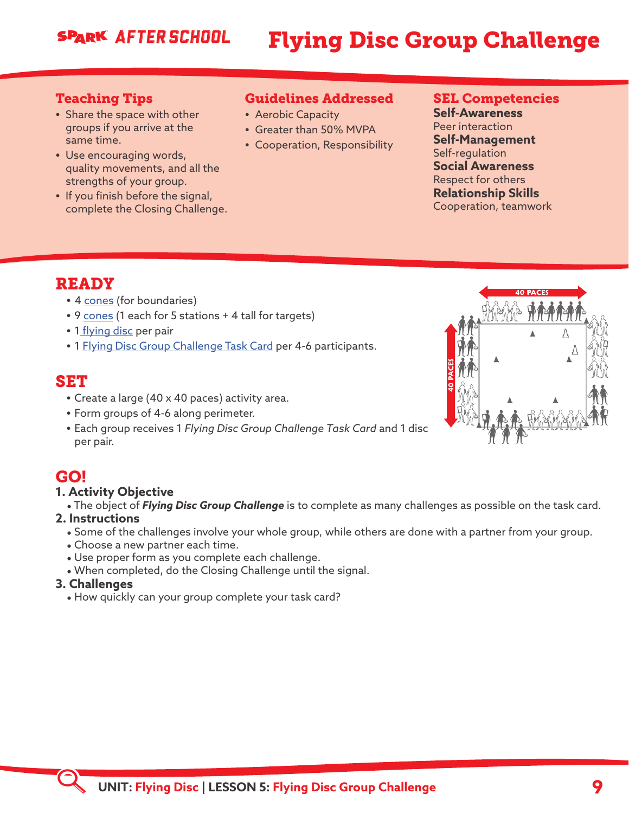## **SPARK AFTER SCHOOL**

## Flying Disc Group Challenge

#### Teaching Tips

- **•** Share the space with other groups if you arrive at the same time.
- **•** Use encouraging words, quality movements, and all the strengths of your group.
- **•** If you finish before the signal, complete the Closing Challenge.

## Guidelines Addressed

- **•** Aerobic Capacity
- **•** Greater than 50% MVPA
- **•** Cooperation, Responsibility

#### SEL Competencies

**Self-Awareness** Peer interaction **Self-Management** Self-regulation **Social Awareness** Respect for others **Relationship Skills** Cooperation, teamwork

## READY

- **•** 4 [cones](https://www.gophersport.com/after-school/disc) (for boundaries)
- **•** 9 [cones](https://www.gophersport.com/after-school/disc) (1 each for 5 stations + 4 tall for targets)
- **•** 1 [flying disc](https://www.gophersport.com/after-school/disc) per pair
- **•** 1 [Flying Disc Group Challenge Task Card](https://sparkfamily.org/#/secondary-module-file-list/268/7/80) per 4-6 participants.

## SET

- **•** Create a large (40 x 40 paces) activity area.
- **•** Form groups of 4-6 along perimeter.
- **•** Each group receives 1 *Flying Disc Group Challenge Task Card* and 1 disc per pair.

## GO!

- **1. Activity Objective**
	- \* The object of *Flying Disc Group Challenge* is to complete as many challenges as possible on the task card.

#### **2. Instructions**

- \* Some of the challenges involve your whole group, while others are done with a partner from your group.
- Choose a new partner each time.
- Use proper form as you complete each challenge.
- . When completed, do the Closing Challenge until the signal.

#### **3. Challenges**

• How quickly can your group complete your task card?